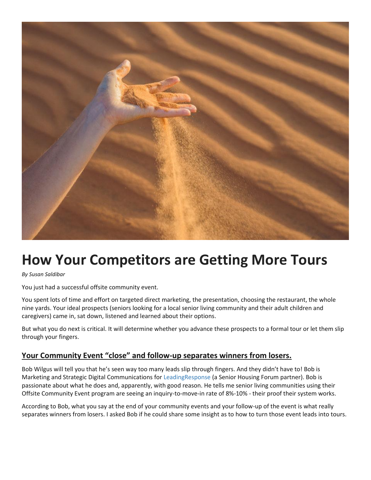

## **How Your Competitors are Getting More Tours**

*By Susan Saldibar*

You just had a successful offsite community event.

You spent lots of time and effort on targeted direct marketing, the presentation, choosing the restaurant, the whole nine yards. Your ideal prospects (seniors looking for a local senior living community and their adult children and caregivers) came in, sat down, listened and learned about their options.

But what you do next is critical. It will determine whether you advance these prospects to a formal tour or let them slip through your fingers.

## **Your Community Event "close" and follow-up separates winners from losers.**

Bob Wilgus will tell you that he's seen way too many leads slip through fingers. And they didn't have to! Bob is Marketing and Strategic Digital Communications for [LeadingResponse](http://www.leadingresponse.com/senior-living-marketing/) (a Senior Housing Forum partner). Bob is passionate about what he does and, apparently, with good reason. He tells me senior living communities using their Offsite Community Event program are seeing an inquiry-to-move-in rate of 8%-10% - their proof their system works.

According to Bob, what you say at the end of your community events and your follow-up of the event is what really separates winners from losers. I asked Bob if he could share some insight as to how to turn those event leads into tours.